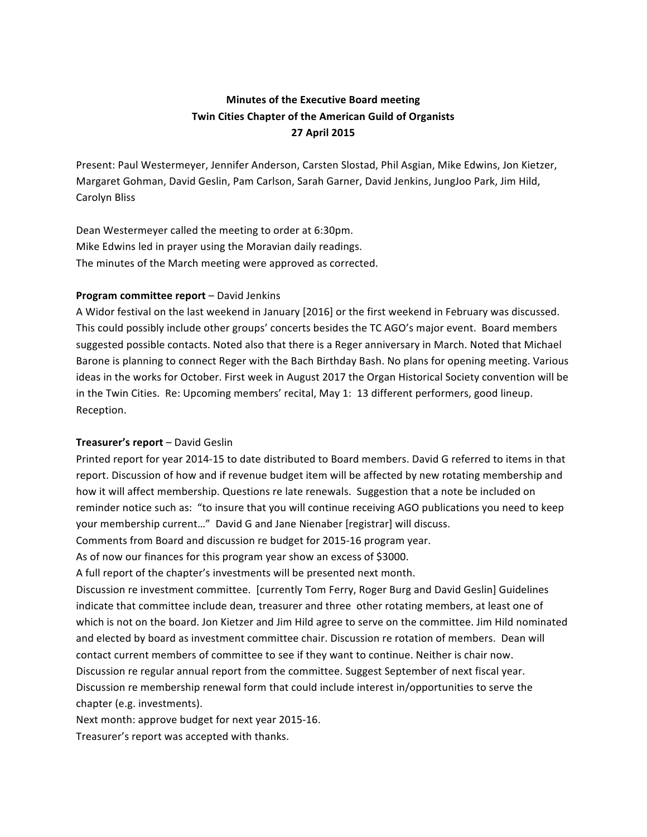# **Minutes of the Executive Board meeting Twin Cities Chapter of the American Guild of Organists 27 April 2015**

Present: Paul Westermeyer, Jennifer Anderson, Carsten Slostad, Phil Asgian, Mike Edwins, Jon Kietzer, Margaret Gohman, David Geslin, Pam Carlson, Sarah Garner, David Jenkins, JungJoo Park, Jim Hild, Carolyn Bliss

Dean Westermeyer called the meeting to order at 6:30pm. Mike Edwins led in prayer using the Moravian daily readings. The minutes of the March meeting were approved as corrected.

## **Program committee report** – David Jenkins

A Widor festival on the last weekend in January [2016] or the first weekend in February was discussed. This could possibly include other groups' concerts besides the TC AGO's major event. Board members suggested possible contacts. Noted also that there is a Reger anniversary in March. Noted that Michael Barone is planning to connect Reger with the Bach Birthday Bash. No plans for opening meeting. Various ideas in the works for October. First week in August 2017 the Organ Historical Society convention will be in the Twin Cities. Re: Upcoming members' recital, May 1: 13 different performers, good lineup. Reception.

# **Treasurer's report** – David Geslin

Printed report for year 2014-15 to date distributed to Board members. David G referred to items in that report. Discussion of how and if revenue budget item will be affected by new rotating membership and how it will affect membership. Questions re late renewals. Suggestion that a note be included on reminder notice such as: "to insure that you will continue receiving AGO publications you need to keep your membership current..." David G and Jane Nienaber [registrar] will discuss.

Comments from Board and discussion re budget for 2015-16 program year.

As of now our finances for this program year show an excess of \$3000.

A full report of the chapter's investments will be presented next month.

Discussion re investment committee. [currently Tom Ferry, Roger Burg and David Geslin] Guidelines indicate that committee include dean, treasurer and three other rotating members, at least one of which is not on the board. Jon Kietzer and Jim Hild agree to serve on the committee. Jim Hild nominated and elected by board as investment committee chair. Discussion re rotation of members. Dean will contact current members of committee to see if they want to continue. Neither is chair now. Discussion re regular annual report from the committee. Suggest September of next fiscal year. Discussion re membership renewal form that could include interest in/opportunities to serve the chapter (e.g. investments).

Next month: approve budget for next year 2015-16.

Treasurer's report was accepted with thanks.